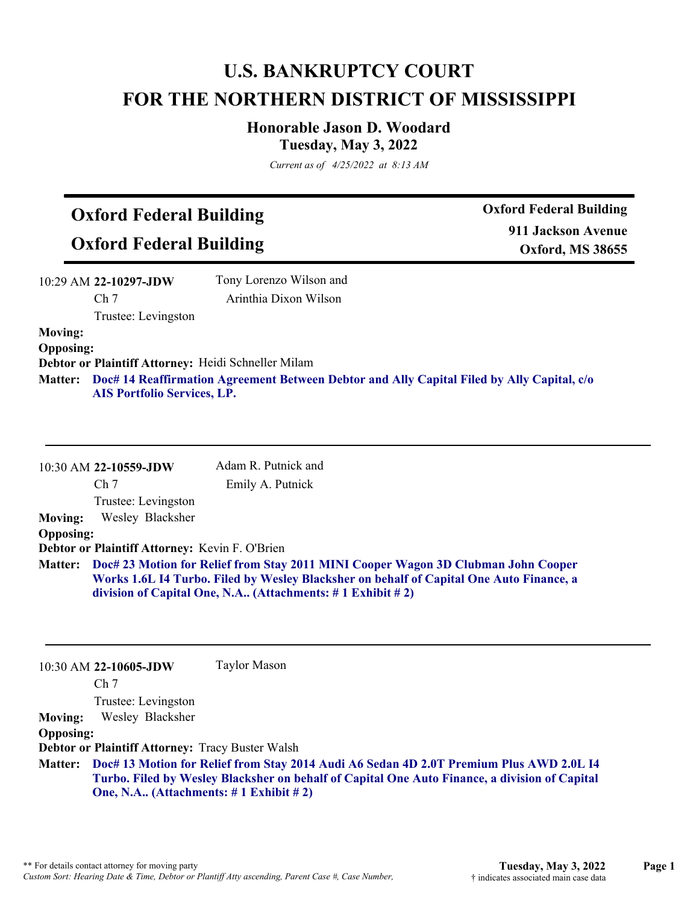## **U.S. BANKRUPTCY COURT FOR THE NORTHERN DISTRICT OF MISSISSIPPI**

## **Honorable Jason D. Woodard Tuesday, May 3, 2022**

*Current as of 4/25/2022 at 8:13 AM*

## **Oxford Federal Building**

**Oxford Federal Building**

**Oxford Federal Building 911 Jackson Avenue Oxford, MS 38655**

| $10:29$ AM 22-10297-JDW | Tony Lorenzo Wilson and |
|-------------------------|-------------------------|
| Ch <sub>7</sub>         | Arinthia Dixon Wilson   |
| Trustee: Levingston     |                         |
| <b>Moving:</b>          |                         |

**Opposing:**

**Debtor or Plaintiff Attorney:** Heidi Schneller Milam

**Doc# 14 Reaffirmation Agreement Between Debtor and Ally Capital Filed by Ally Capital, c/o Matter: AIS Portfolio Services, LP.**

|                  | 10:30 AM 22-10559-JDW                                                                                                                                                                                                                                      | Adam R. Putnick and |
|------------------|------------------------------------------------------------------------------------------------------------------------------------------------------------------------------------------------------------------------------------------------------------|---------------------|
|                  | Ch <sub>7</sub>                                                                                                                                                                                                                                            | Emily A. Putnick    |
|                  | Trustee: Levingston                                                                                                                                                                                                                                        |                     |
| <b>Moving:</b>   | Wesley Blacksher                                                                                                                                                                                                                                           |                     |
| <b>Opposing:</b> |                                                                                                                                                                                                                                                            |                     |
|                  | Debtor or Plaintiff Attorney: Kevin F. O'Brien                                                                                                                                                                                                             |                     |
|                  | Matter: Doc# 23 Motion for Relief from Stay 2011 MINI Cooper Wagon 3D Clubman John Cooper<br>Works 1.6L I4 Turbo. Filed by Wesley Blacksher on behalf of Capital One Auto Finance, a<br>division of Capital One, N.A (Attachments: $\# 1$ Exhibit $\# 2$ ) |                     |

10:30 AM **22-10605-JDW**  Ch 7 Trustee: Levingston Taylor Mason **Moving:** Wesley Blacksher **Opposing: Debtor or Plaintiff Attorney:** Tracy Buster Walsh **Doc# 13 Motion for Relief from Stay 2014 Audi A6 Sedan 4D 2.0T Premium Plus AWD 2.0L I4 Matter: Turbo. Filed by Wesley Blacksher on behalf of Capital One Auto Finance, a division of Capital One, N.A.. (Attachments: # 1 Exhibit # 2)**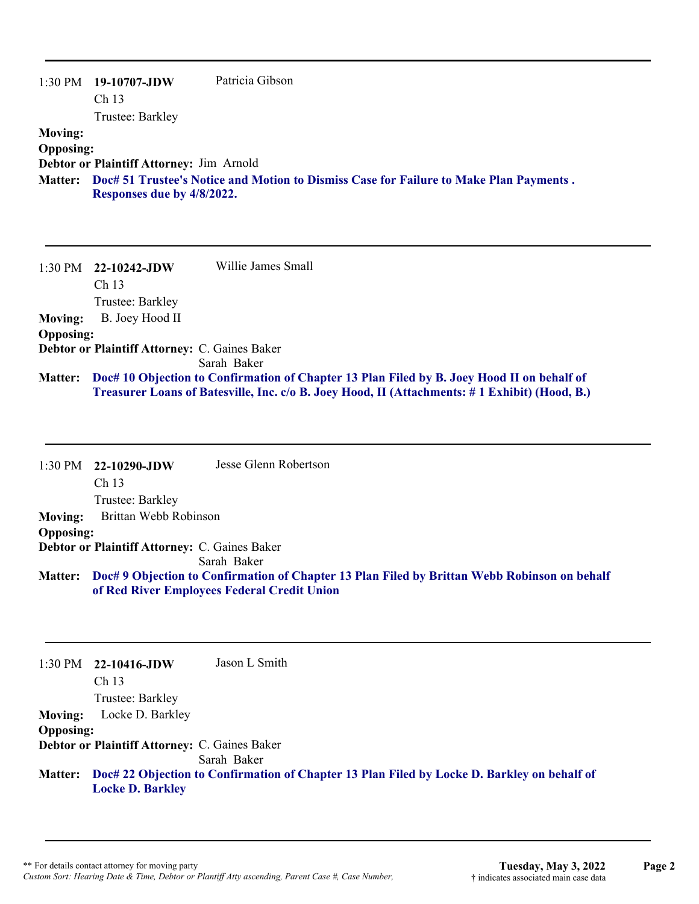|                  | $1:30 \text{ PM}$ 19-10707-JDW           | Patricia Gibson                                                                        |
|------------------|------------------------------------------|----------------------------------------------------------------------------------------|
|                  | Ch <sub>13</sub>                         |                                                                                        |
|                  | Trustee: Barkley                         |                                                                                        |
| <b>Moving:</b>   |                                          |                                                                                        |
| <b>Opposing:</b> |                                          |                                                                                        |
|                  | Debtor or Plaintiff Attorney: Jim Arnold |                                                                                        |
| <b>Matter:</b>   |                                          | Doc# 51 Trustee's Notice and Motion to Dismiss Case for Failure to Make Plan Payments. |
|                  | Responses due by 4/8/2022.               |                                                                                        |
|                  |                                          |                                                                                        |

|                  | $1:30 \text{ PM}$ 22-10242-JDW                | Willie James Small                                                                                   |
|------------------|-----------------------------------------------|------------------------------------------------------------------------------------------------------|
|                  | Ch <sub>13</sub>                              |                                                                                                      |
|                  | Trustee: Barkley                              |                                                                                                      |
| <b>Moving:</b>   | B. Joey Hood II                               |                                                                                                      |
| <b>Opposing:</b> |                                               |                                                                                                      |
|                  | Debtor or Plaintiff Attorney: C. Gaines Baker |                                                                                                      |
|                  |                                               | Sarah Baker                                                                                          |
| <b>Matter:</b>   |                                               | Doc# 10 Objection to Confirmation of Chapter 13 Plan Filed by B. Joey Hood II on behalf of           |
|                  |                                               | <b>Treasurer Loans of Batesville, Inc. c/o B. Joey Hood, II (Attachments: #1 Exhibit) (Hood, B.)</b> |

|                  | $1:30 \text{ PM}$ 22-10290-JDW                | Jesse Glenn Robertson |
|------------------|-----------------------------------------------|-----------------------|
|                  | Ch <sub>13</sub>                              |                       |
|                  | Trustee: Barkley                              |                       |
| Moving:          | Brittan Webb Robinson                         |                       |
| <b>Opposing:</b> |                                               |                       |
|                  | Debtor or Plaintiff Attorney: C. Gaines Baker |                       |
|                  |                                               | Sarah Baker           |

**Doc# 9 Objection to Confirmation of Chapter 13 Plan Filed by Brittan Webb Robinson on behalf Matter: of Red River Employees Federal Credit Union**

1:30 PM **22-10416-JDW**  Ch 13 Trustee: Barkley Jason L Smith **Moving:** Locke D. Barkley **Opposing: Debtor or Plaintiff Attorney:** C. Gaines Baker

Sarah Baker

**Doc# 22 Objection to Confirmation of Chapter 13 Plan Filed by Locke D. Barkley on behalf of Matter: Locke D. Barkley**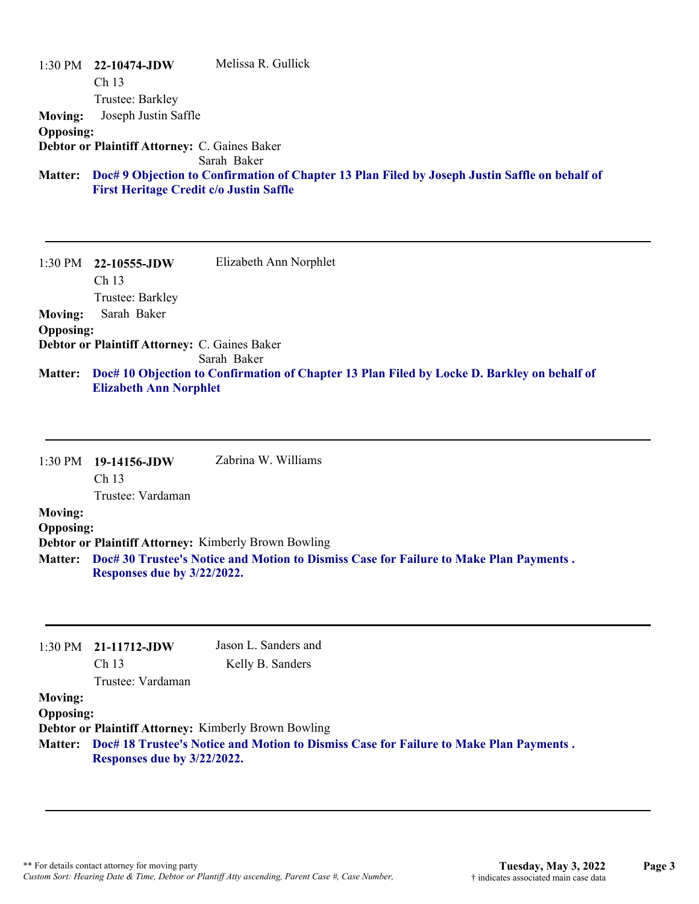|                  | $1:30 \text{ PM}$ 22-10474-JDW                       | Melissa R. Gullick                                                                             |
|------------------|------------------------------------------------------|------------------------------------------------------------------------------------------------|
|                  | Ch <sub>13</sub>                                     |                                                                                                |
|                  | Trustee: Barkley                                     |                                                                                                |
| <b>Moving:</b>   | Joseph Justin Saffle                                 |                                                                                                |
| <b>Opposing:</b> |                                                      |                                                                                                |
|                  | <b>Debtor or Plaintiff Attorney: C. Gaines Baker</b> | Sarah Baker                                                                                    |
| <b>Matter:</b>   | <b>First Heritage Credit c/o Justin Saffle</b>       | Doc# 9 Objection to Confirmation of Chapter 13 Plan Filed by Joseph Justin Saffle on behalf of |

**Moving:** Sarah Baker **Opposing: Debtor or Plaintiff Attorney:** C. Gaines Baker Sarah Baker **Doc# 10 Objection to Confirmation of Chapter 13 Plan Filed by Locke D. Barkley on behalf of Matter: Elizabeth Ann Norphlet**

1:30 PM **19-14156-JDW**  Ch 13 Trustee: Vardaman Zabrina W. Williams **Moving: Opposing: Debtor or Plaintiff Attorney:** Kimberly Brown Bowling **Doc# 30 Trustee's Notice and Motion to Dismiss Case for Failure to Make Plan Payments . Matter: Responses due by 3/22/2022.**

|                  | $1:30 \text{ PM}$ 21-11712-JDW<br>Ch <sub>13</sub>                                                                            | Jason L. Sanders and<br>Kelly B. Sanders                    |
|------------------|-------------------------------------------------------------------------------------------------------------------------------|-------------------------------------------------------------|
|                  | Trustee: Vardaman                                                                                                             |                                                             |
| <b>Moving:</b>   |                                                                                                                               |                                                             |
| <b>Opposing:</b> |                                                                                                                               |                                                             |
|                  |                                                                                                                               | <b>Debtor or Plaintiff Attorney: Kimberly Brown Bowling</b> |
|                  | Matter: Doc# 18 Trustee's Notice and Motion to Dismiss Case for Failure to Make Plan Payments.<br>Responses due by 3/22/2022. |                                                             |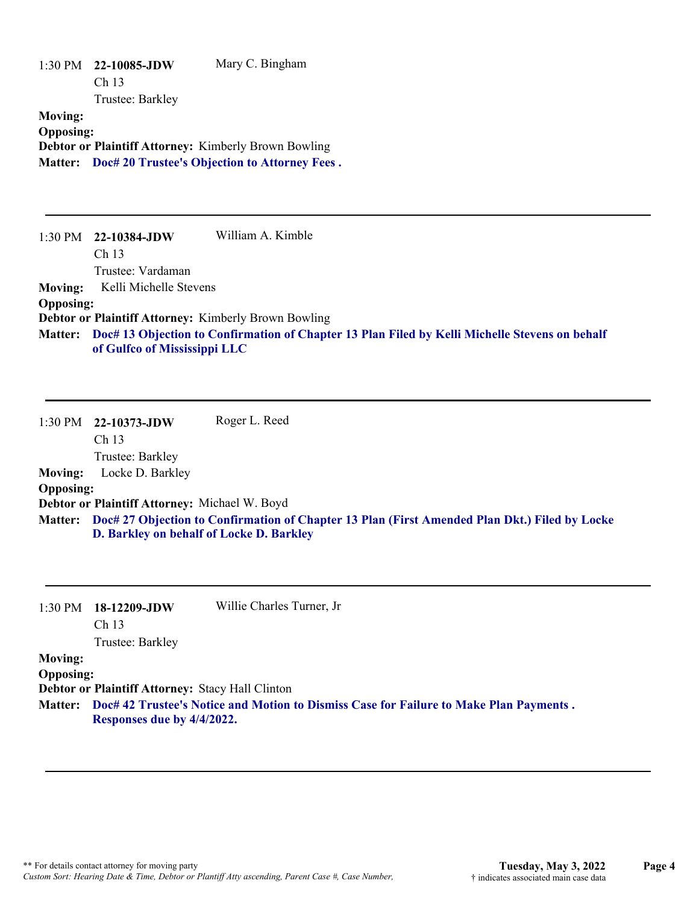|                  | 1:30 PM 22-10085-JDW | Mary C. Bingham                                              |
|------------------|----------------------|--------------------------------------------------------------|
|                  | Ch <sub>13</sub>     |                                                              |
|                  | Trustee: Barkley     |                                                              |
| <b>Moving:</b>   |                      |                                                              |
| <b>Opposing:</b> |                      |                                                              |
|                  |                      | <b>Debtor or Plaintiff Attorney: Kimberly Brown Bowling</b>  |
|                  |                      | <b>Matter:</b> Doc# 20 Trustee's Objection to Attorney Fees. |
|                  |                      |                                                              |

1:30 PM **22-10384-JDW**  Ch 13 Trustee: Vardaman William A. Kimble **Moving:** Kelli Michelle Stevens **Opposing: Debtor or Plaintiff Attorney:** Kimberly Brown Bowling **Doc# 13 Objection to Confirmation of Chapter 13 Plan Filed by Kelli Michelle Stevens on behalf Matter: of Gulfco of Mississippi LLC**

1:30 PM **22-10373-JDW**  Ch 13 Trustee: Barkley Roger L. Reed **Moving:** Locke D. Barkley **Opposing: Debtor or Plaintiff Attorney:** Michael W. Boyd **Doc# 27 Objection to Confirmation of Chapter 13 Plan (First Amended Plan Dkt.) Filed by Locke Matter: D. Barkley on behalf of Locke D. Barkley**

| 1:30 PM          | $18-12209$ -JDW<br>Ch <sub>13</sub>              | Willie Charles Turner, Jr                                                                      |
|------------------|--------------------------------------------------|------------------------------------------------------------------------------------------------|
|                  | Trustee: Barkley                                 |                                                                                                |
| <b>Moving:</b>   |                                                  |                                                                                                |
| <b>Opposing:</b> |                                                  |                                                                                                |
|                  | Debtor or Plaintiff Attorney: Stacy Hall Clinton |                                                                                                |
|                  | Responses due by 4/4/2022.                       | Matter: Doc# 42 Trustee's Notice and Motion to Dismiss Case for Failure to Make Plan Payments. |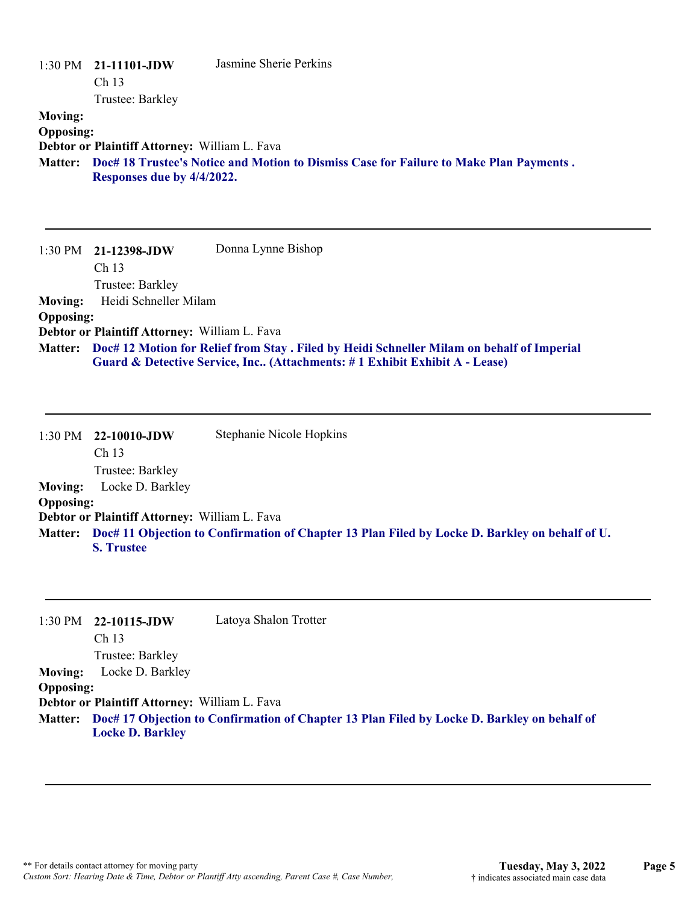| <b>Moving:</b><br><b>Opposing:</b><br><b>Matter:</b> | 1:30 PM 21-11101-JDW<br>Ch <sub>13</sub><br>Trustee: Barkley<br>Debtor or Plaintiff Attorney: William L. Fava<br>Responses due by 4/4/2022. | Jasmine Sherie Perkins<br>Doc# 18 Trustee's Notice and Motion to Dismiss Case for Failure to Make Plan Payments.                                                        |
|------------------------------------------------------|---------------------------------------------------------------------------------------------------------------------------------------------|-------------------------------------------------------------------------------------------------------------------------------------------------------------------------|
| 1:30 PM                                              | 21-12398-JDW<br>Ch 13<br>Trustee: Barkley                                                                                                   | Donna Lynne Bishop                                                                                                                                                      |
| <b>Moving:</b>                                       | Heidi Schneller Milam                                                                                                                       |                                                                                                                                                                         |
| <b>Opposing:</b>                                     |                                                                                                                                             |                                                                                                                                                                         |
|                                                      | Debtor or Plaintiff Attorney: William L. Fava                                                                                               |                                                                                                                                                                         |
| <b>Matter:</b>                                       |                                                                                                                                             | Doc# 12 Motion for Relief from Stay. Filed by Heidi Schneller Milam on behalf of Imperial<br>Guard & Detective Service, Inc (Attachments: #1 Exhibit Exhibit A - Lease) |
| 1:30 PM                                              | 22-10010-JDW<br>Ch 13<br>Trustee: Barkley                                                                                                   | Stephanie Nicole Hopkins                                                                                                                                                |
| <b>Moving:</b>                                       | Locke D. Barkley                                                                                                                            |                                                                                                                                                                         |
| <b>Opposing:</b>                                     |                                                                                                                                             |                                                                                                                                                                         |
|                                                      | Debtor or Plaintiff Attorney: William L. Fava                                                                                               |                                                                                                                                                                         |
| <b>Matter:</b>                                       | <b>S. Trustee</b>                                                                                                                           | Doc# 11 Objection to Confirmation of Chapter 13 Plan Filed by Locke D. Barkley on behalf of U.                                                                          |
|                                                      |                                                                                                                                             |                                                                                                                                                                         |

1:30 PM **22-10115-JDW**  Ch 13 Trustee: Barkley Latoya Shalon Trotter **Moving:** Locke D. Barkley **Opposing: Debtor or Plaintiff Attorney:** William L. Fava **Doc# 17 Objection to Confirmation of Chapter 13 Plan Filed by Locke D. Barkley on behalf of Matter: Locke D. Barkley**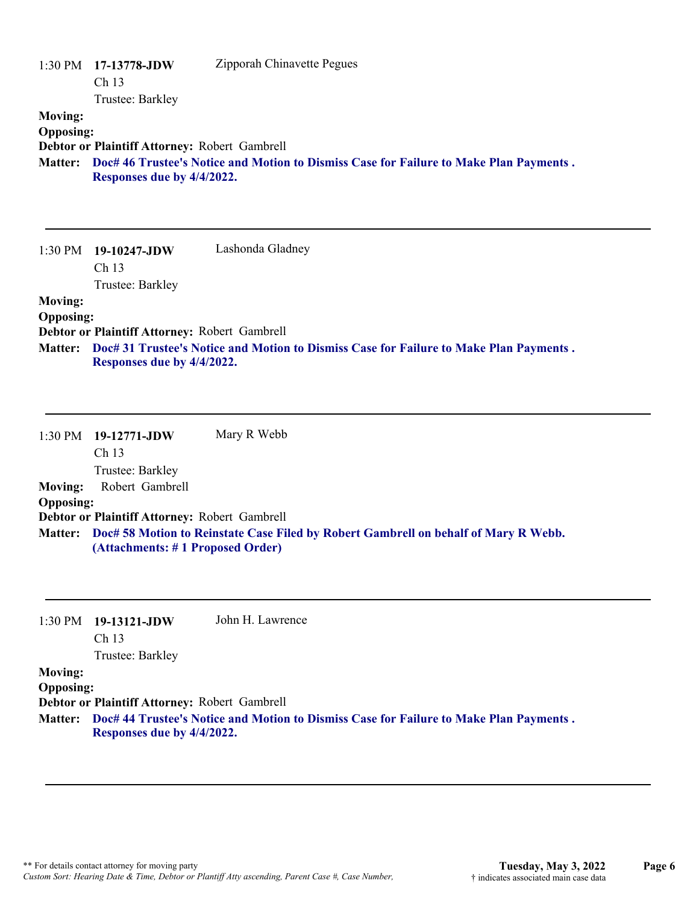|                  | $1:30 \text{ PM}$ 17-13778-JDW<br>Ch <sub>13</sub>                                     | Zipporah Chinavette Pegues |
|------------------|----------------------------------------------------------------------------------------|----------------------------|
|                  | Trustee: Barkley                                                                       |                            |
| <b>Moving:</b>   |                                                                                        |                            |
| <b>Opposing:</b> |                                                                                        |                            |
|                  | Debtor or Plaintiff Attorney: Robert Gambrell                                          |                            |
| <b>Matter:</b>   | Doc# 46 Trustee's Notice and Motion to Dismiss Case for Failure to Make Plan Payments. |                            |
|                  | Responses due by 4/4/2022.                                                             |                            |
|                  |                                                                                        |                            |

|                  | $1:30 \text{ PM}$ 19-10247-JDW                | Lashonda Gladney                                                                       |
|------------------|-----------------------------------------------|----------------------------------------------------------------------------------------|
|                  | Ch <sub>13</sub>                              |                                                                                        |
|                  | Trustee: Barkley                              |                                                                                        |
| <b>Moving:</b>   |                                               |                                                                                        |
| <b>Opposing:</b> |                                               |                                                                                        |
|                  | Debtor or Plaintiff Attorney: Robert Gambrell |                                                                                        |
| <b>Matter:</b>   | Responses due by 4/4/2022.                    | Doc# 31 Trustee's Notice and Motion to Dismiss Case for Failure to Make Plan Payments. |

|                  | 1:30 PM 19-12771-JDW                          | Mary R Webb                                                                                 |
|------------------|-----------------------------------------------|---------------------------------------------------------------------------------------------|
|                  | Ch <sub>13</sub>                              |                                                                                             |
|                  | Trustee: Barkley                              |                                                                                             |
| <b>Moving:</b>   | Robert Gambrell                               |                                                                                             |
| <b>Opposing:</b> |                                               |                                                                                             |
|                  | Debtor or Plaintiff Attorney: Robert Gambrell |                                                                                             |
|                  | (Attachments: #1 Proposed Order)              | Matter: Doc# 58 Motion to Reinstate Case Filed by Robert Gambrell on behalf of Mary R Webb. |

|                  | $1:30 \text{ PM}$ 19-13121-JDW                | John H. Lawrence                                                                               |
|------------------|-----------------------------------------------|------------------------------------------------------------------------------------------------|
|                  | Ch <sub>13</sub>                              |                                                                                                |
|                  | Trustee: Barkley                              |                                                                                                |
| <b>Moving:</b>   |                                               |                                                                                                |
| <b>Opposing:</b> |                                               |                                                                                                |
|                  | Debtor or Plaintiff Attorney: Robert Gambrell |                                                                                                |
|                  |                                               | Matter: Doc# 44 Trustee's Notice and Motion to Dismiss Case for Failure to Make Plan Payments. |

**Responses due by 4/4/2022.**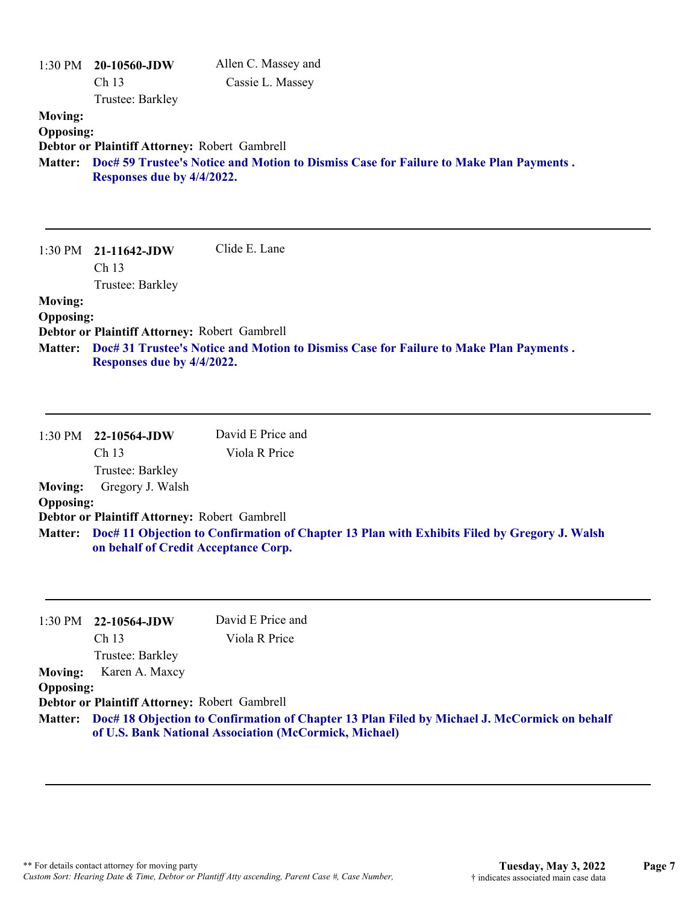| <b>Moving:</b><br><b>Opposing:</b><br><b>Matter:</b> | 1:30 PM 20-10560-JDW<br>Ch 13<br>Trustee: Barkley<br>Debtor or Plaintiff Attorney: Robert Gambrell<br>Responses due by 4/4/2022.                  | Allen C. Massey and<br>Cassie L. Massey<br>Doc# 59 Trustee's Notice and Motion to Dismiss Case for Failure to Make Plan Payments. |
|------------------------------------------------------|---------------------------------------------------------------------------------------------------------------------------------------------------|-----------------------------------------------------------------------------------------------------------------------------------|
|                                                      | 1:30 PM 21-11642-JDW<br>Ch 13                                                                                                                     | Clide E. Lane                                                                                                                     |
| <b>Moving:</b><br><b>Opposing:</b><br><b>Matter:</b> | Trustee: Barkley<br>Debtor or Plaintiff Attorney: Robert Gambrell<br>Responses due by 4/4/2022.                                                   | Doc# 31 Trustee's Notice and Motion to Dismiss Case for Failure to Make Plan Payments.                                            |
|                                                      | 1:30 PM 22-10564-JDW                                                                                                                              | David E Price and                                                                                                                 |
| <b>Moving:</b><br><b>Opposing:</b><br><b>Matter:</b> | Ch <sub>13</sub><br>Trustee: Barkley<br>Gregory J. Walsh<br>Debtor or Plaintiff Attorney: Robert Gambrell<br>on behalf of Credit Acceptance Corp. | Viola R Price<br>Doc# 11 Objection to Confirmation of Chapter 13 Plan with Exhibits Filed by Gregory J. Walsh                     |
| 1:30 PM<br><b>Moving:</b><br><b>Opposing:</b>        | 22-10564-JDW<br>Ch 13<br>Trustee: Barkley<br>Karen A. Maxcy<br>Debtor or Plaintiff Attorney: Robert Gambrell                                      | David E Price and<br>Viola R Price                                                                                                |
|                                                      |                                                                                                                                                   | Matter: Doc# 18 Objection to Confirmation of Chapter 13 Plan Filed by Michael J. McCormick on behalf                              |

**of U.S. Bank National Association (McCormick, Michael)**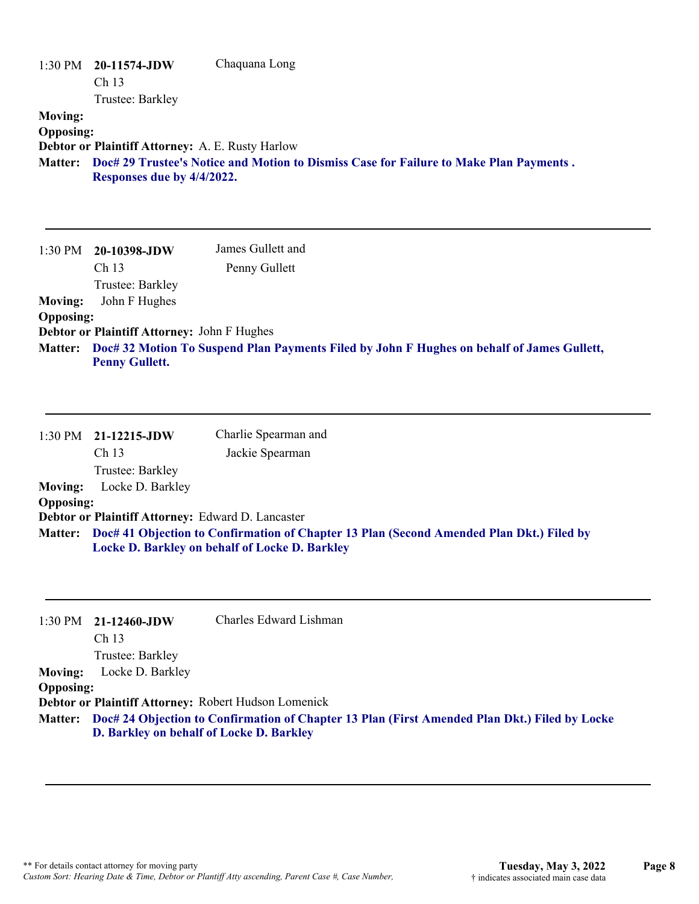| <b>Moving:</b><br><b>Opposing:</b>                              | $1:30 \text{ PM}$ 20-11574-JDW<br>Ch <sub>13</sub><br>Trustee: Barkley<br>Debtor or Plaintiff Attorney: A. E. Rusty Harlow<br>Responses due by 4/4/2022.          | Chaquana Long<br>Matter: Doc# 29 Trustee's Notice and Motion to Dismiss Case for Failure to Make Plan Payments.                                                                               |
|-----------------------------------------------------------------|-------------------------------------------------------------------------------------------------------------------------------------------------------------------|-----------------------------------------------------------------------------------------------------------------------------------------------------------------------------------------------|
| 1:30 PM<br><b>Moving:</b><br><b>Opposing:</b>                   | 20-10398-JDW<br>Ch 13<br>Trustee: Barkley<br>John F Hughes                                                                                                        | James Gullett and<br>Penny Gullett                                                                                                                                                            |
| <b>Matter:</b>                                                  | Debtor or Plaintiff Attorney: John F Hughes<br><b>Penny Gullett.</b>                                                                                              | Doc# 32 Motion To Suspend Plan Payments Filed by John F Hughes on behalf of James Gullett,                                                                                                    |
| 1:30 PM<br><b>Moving:</b><br><b>Opposing:</b>                   | 21-12215-JDW<br>Ch 13<br>Trustee: Barkley<br>Locke D. Barkley<br>Debtor or Plaintiff Attorney: Edward D. Lancaster                                                | Charlie Spearman and<br>Jackie Spearman<br>Matter: Doc# 41 Objection to Confirmation of Chapter 13 Plan (Second Amended Plan Dkt.) Filed by<br>Locke D. Barkley on behalf of Locke D. Barkley |
| 1:30 PM<br><b>Moving:</b><br><b>Opposing:</b><br><b>Matter:</b> | 21-12460-JDW<br>Ch 13<br>Trustee: Barkley<br>Locke D. Barkley<br>Debtor or Plaintiff Attorney: Robert Hudson Lomenick<br>D. Barkley on behalf of Locke D. Barkley | Charles Edward Lishman<br>Doc# 24 Objection to Confirmation of Chapter 13 Plan (First Amended Plan Dkt.) Filed by Locke                                                                       |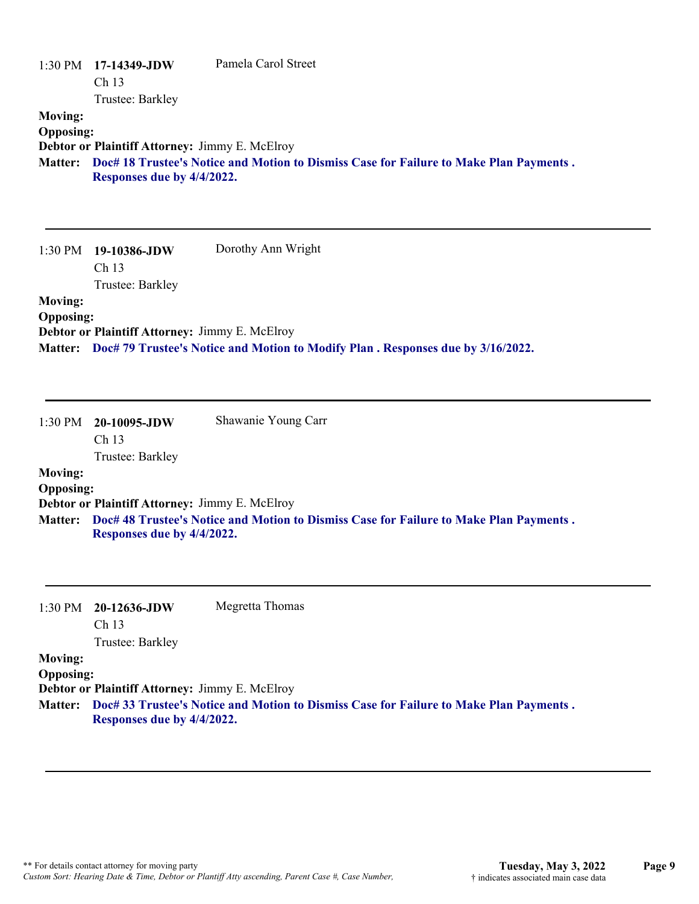| <b>Moving:</b><br><b>Opposing:</b><br><b>Matter:</b> | 1:30 PM 17-14349-JDW<br>Ch 13<br>Trustee: Barkley<br>Debtor or Plaintiff Attorney: Jimmy E. McElroy | Pamela Carol Street<br>Doc# 18 Trustee's Notice and Motion to Dismiss Case for Failure to Make Plan Payments. |
|------------------------------------------------------|-----------------------------------------------------------------------------------------------------|---------------------------------------------------------------------------------------------------------------|
|                                                      | Responses due by 4/4/2022.                                                                          |                                                                                                               |
| 1:30 PM                                              | 19-10386-JDW<br>Ch <sub>13</sub><br>Trustee: Barkley                                                | Dorothy Ann Wright                                                                                            |
| <b>Moving:</b><br><b>Opposing:</b><br><b>Matter:</b> | Debtor or Plaintiff Attorney: Jimmy E. McElroy                                                      | Doc# 79 Trustee's Notice and Motion to Modify Plan. Responses due by 3/16/2022.                               |
|                                                      |                                                                                                     |                                                                                                               |
| 1:30 PM                                              | 20-10095-JDW<br>Ch 13                                                                               | Shawanie Young Carr                                                                                           |
|                                                      | Trustee: Barkley                                                                                    |                                                                                                               |
| <b>Moving:</b>                                       |                                                                                                     |                                                                                                               |
| <b>Opposing:</b>                                     | Debtor or Plaintiff Attorney: Jimmy E. McElroy                                                      |                                                                                                               |

**Doc# 48 Trustee's Notice and Motion to Dismiss Case for Failure to Make Plan Payments . Matter: Responses due by 4/4/2022.**

| 1:30 PM          | 20-12636-JDW<br>Ch <sub>13</sub>                      | Megretta Thomas                                                                        |
|------------------|-------------------------------------------------------|----------------------------------------------------------------------------------------|
|                  | Trustee: Barkley                                      |                                                                                        |
| <b>Moving:</b>   |                                                       |                                                                                        |
| <b>Opposing:</b> |                                                       |                                                                                        |
|                  | <b>Debtor or Plaintiff Attorney: Jimmy E. McElroy</b> |                                                                                        |
| <b>Matter:</b>   | Responses due by 4/4/2022.                            | Doc# 33 Trustee's Notice and Motion to Dismiss Case for Failure to Make Plan Payments. |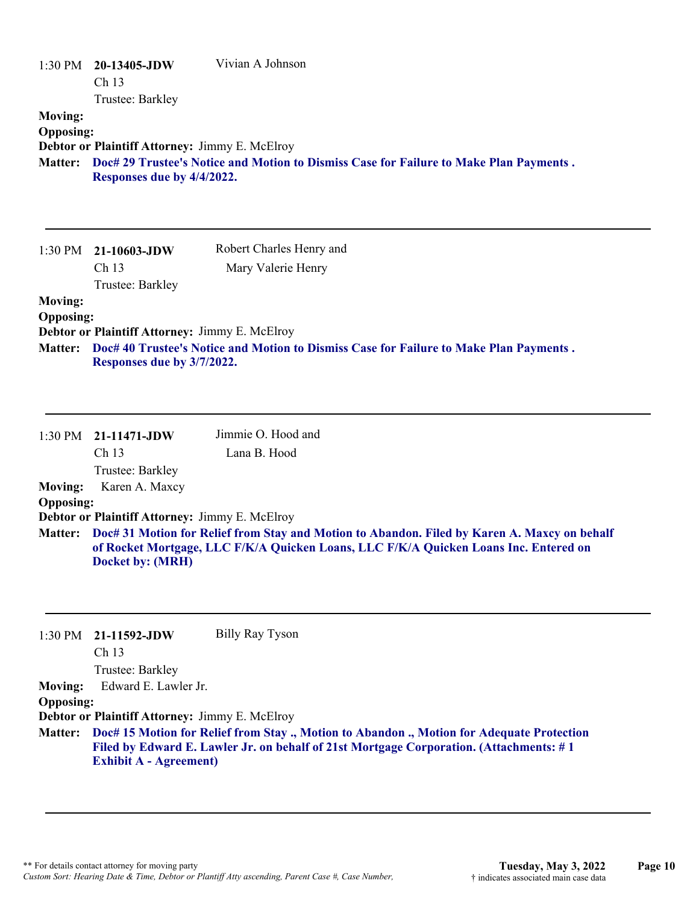| <b>Moving:</b><br><b>Opposing:</b><br><b>Matter:</b> | 1:30 PM 20-13405-JDW<br>Ch <sub>13</sub><br>Trustee: Barkley<br>Debtor or Plaintiff Attorney: Jimmy E. McElroy<br>Responses due by 4/4/2022. | Vivian A Johnson<br>Doc# 29 Trustee's Notice and Motion to Dismiss Case for Failure to Make Plan Payments.                                                                           |
|------------------------------------------------------|----------------------------------------------------------------------------------------------------------------------------------------------|--------------------------------------------------------------------------------------------------------------------------------------------------------------------------------------|
| $1:30$ PM<br><b>Moving:</b>                          | 21-10603-JDW<br>Ch 13<br>Trustee: Barkley                                                                                                    | Robert Charles Henry and<br>Mary Valerie Henry                                                                                                                                       |
| <b>Opposing:</b><br><b>Matter:</b>                   | Debtor or Plaintiff Attorney: Jimmy E. McElroy<br>Responses due by 3/7/2022.                                                                 | Doc# 40 Trustee's Notice and Motion to Dismiss Case for Failure to Make Plan Payments.                                                                                               |
|                                                      | 1:30 PM 21-11471-JDW<br>Ch <sub>13</sub><br>Trustee: Barkley                                                                                 | Jimmie O. Hood and<br>Lana B. Hood                                                                                                                                                   |
| <b>Moving:</b><br><b>Opposing:</b><br><b>Matter:</b> | Karen A. Maxcy<br>Debtor or Plaintiff Attorney: Jimmy E. McElroy<br><b>Docket by: (MRH)</b>                                                  | Doc# 31 Motion for Relief from Stay and Motion to Abandon. Filed by Karen A. Maxcy on behalf<br>of Rocket Mortgage, LLC F/K/A Quicken Loans, LLC F/K/A Quicken Loans Inc. Entered on |
| 1:30 PM<br><b>Moving:</b><br><b>Opposing:</b>        | 21-11592-JDW<br>Ch 13<br>Trustee: Barkley<br>Edward E. Lawler Jr.<br>Debtor or Plaintiff Attorney: Jimmy E. McElroy                          | <b>Billy Ray Tyson</b>                                                                                                                                                               |
| <b>Matter:</b>                                       | <b>Exhibit A - Agreement)</b>                                                                                                                | Doc# 15 Motion for Relief from Stay ., Motion to Abandon ., Motion for Adequate Protection<br>Filed by Edward E. Lawler Jr. on behalf of 21st Mortgage Corporation. (Attachments: #1 |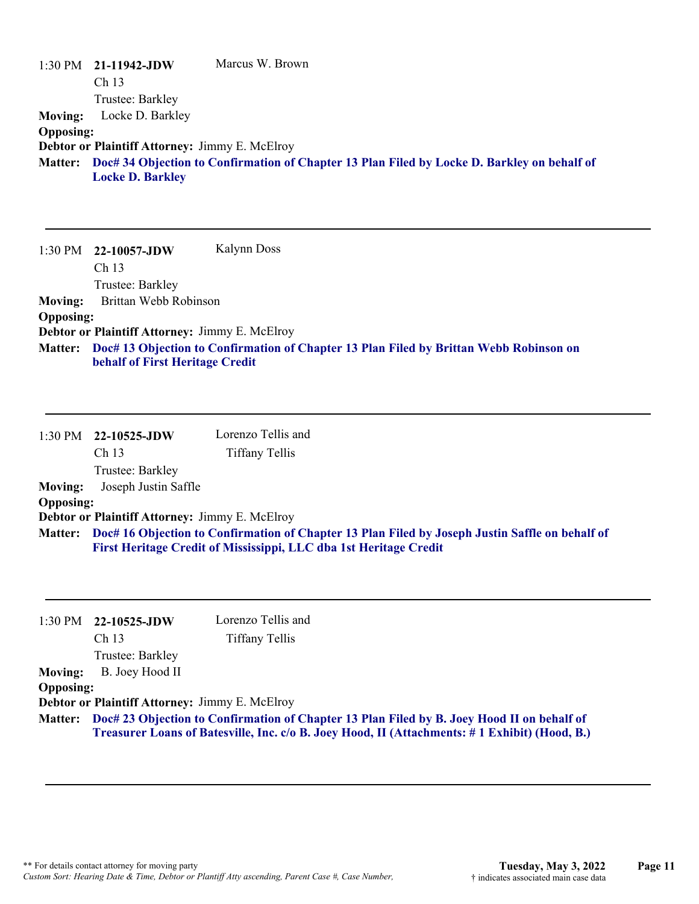|                  | $1:30 \text{ PM}$ 21-11942-JDW                        | Marcus W. Brown                                                                                     |
|------------------|-------------------------------------------------------|-----------------------------------------------------------------------------------------------------|
|                  | Ch <sub>13</sub>                                      |                                                                                                     |
|                  | Trustee: Barkley                                      |                                                                                                     |
| <b>Moving:</b>   | Locke D. Barkley                                      |                                                                                                     |
| <b>Opposing:</b> |                                                       |                                                                                                     |
|                  | <b>Debtor or Plaintiff Attorney: Jimmy E. McElroy</b> |                                                                                                     |
|                  | <b>Locke D. Barkley</b>                               | Matter: Doc# 34 Objection to Confirmation of Chapter 13 Plan Filed by Locke D. Barkley on behalf of |

1:30 PM **22-10057-JDW**  Ch 13 Trustee: Barkley Kalynn Doss **Moving:** Brittan Webb Robinson **Opposing: Debtor or Plaintiff Attorney:** Jimmy E. McElroy **Doc# 13 Objection to Confirmation of Chapter 13 Plan Filed by Brittan Webb Robinson on Matter: behalf of First Heritage Credit**

|                  | 1:30 PM 22-10525-JDW                                  | Lorenzo Tellis and                                                                                      |
|------------------|-------------------------------------------------------|---------------------------------------------------------------------------------------------------------|
|                  | Ch 13                                                 | Tiffany Tellis                                                                                          |
|                  | Trustee: Barkley                                      |                                                                                                         |
| <b>Moving:</b>   | Joseph Justin Saffle                                  |                                                                                                         |
| <b>Opposing:</b> |                                                       |                                                                                                         |
|                  | <b>Debtor or Plaintiff Attorney: Jimmy E. McElroy</b> |                                                                                                         |
|                  |                                                       | Matter: Doc# 16 Objection to Confirmation of Chapter 13 Plan Filed by Joseph Justin Saffle on behalf of |
|                  |                                                       | First Heritage Credit of Mississippi, LLC dba 1st Heritage Credit                                       |

| 1:30 PM          | 22-10525-JDW                                          | Lorenzo Tellis and                                                                                                                                                                                  |
|------------------|-------------------------------------------------------|-----------------------------------------------------------------------------------------------------------------------------------------------------------------------------------------------------|
|                  | Ch <sub>13</sub>                                      | <b>Tiffany Tellis</b>                                                                                                                                                                               |
|                  | Trustee: Barkley                                      |                                                                                                                                                                                                     |
| <b>Moving:</b>   | B. Joey Hood II                                       |                                                                                                                                                                                                     |
| <b>Opposing:</b> |                                                       |                                                                                                                                                                                                     |
|                  | <b>Debtor or Plaintiff Attorney: Jimmy E. McElroy</b> |                                                                                                                                                                                                     |
|                  |                                                       | Matter: Doc# 23 Objection to Confirmation of Chapter 13 Plan Filed by B. Joey Hood II on behalf of<br>Treasurer Loans of Batesville, Inc. c/o B. Joey Hood, II (Attachments: #1 Exhibit) (Hood, B.) |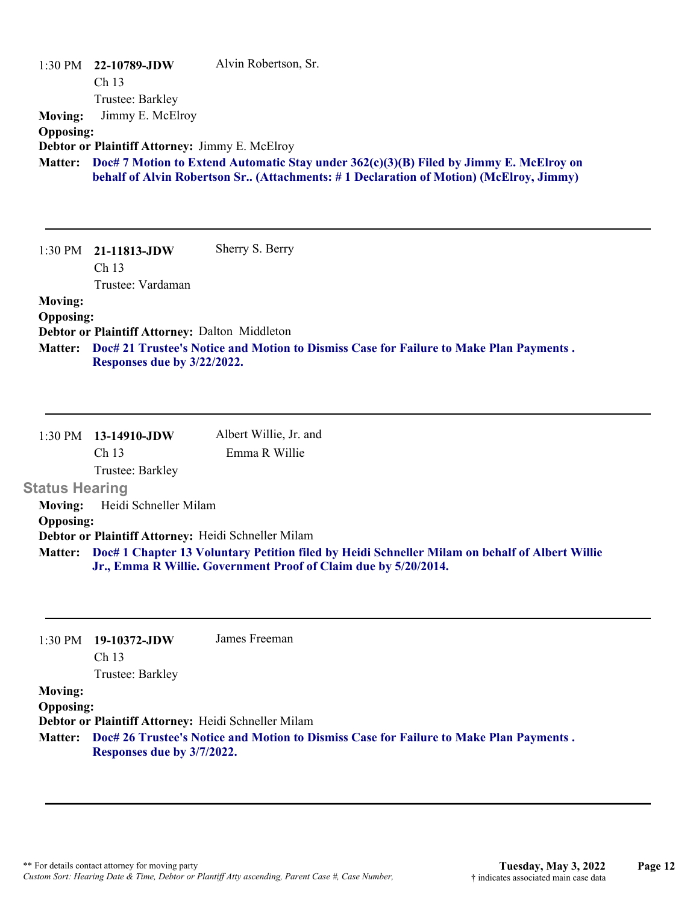|                  | $1:30$ PM $22-10789$ -JDW                             | Alvin Robertson, Sr.                                                                     |
|------------------|-------------------------------------------------------|------------------------------------------------------------------------------------------|
|                  | Ch 13                                                 |                                                                                          |
|                  | Trustee: Barkley                                      |                                                                                          |
| <b>Moving:</b>   | Jimmy E. McElroy                                      |                                                                                          |
| <b>Opposing:</b> |                                                       |                                                                                          |
|                  | <b>Debtor or Plaintiff Attorney: Jimmy E. McElroy</b> |                                                                                          |
| <b>Matter:</b>   |                                                       | Doc# 7 Motion to Extend Automatic Stay under $362(c)(3)(B)$ Filed by Jimmy E. McElroy on |
|                  |                                                       | behalf of Alvin Robertson Sr (Attachments: #1 Declaration of Motion) (McElroy, Jimmy)    |
|                  |                                                       |                                                                                          |
|                  |                                                       |                                                                                          |
|                  |                                                       |                                                                                          |
| 1:30 PM          | 21-11813-JDW                                          | Sherry S. Berry                                                                          |
|                  | Ch 13                                                 |                                                                                          |
|                  | Trustee: Vardaman                                     |                                                                                          |
| <b>Moving:</b>   |                                                       |                                                                                          |
| <b>Opposing:</b> |                                                       |                                                                                          |
|                  | Debtor or Plaintiff Attorney: Dalton Middleton        |                                                                                          |
| <b>Matter:</b>   |                                                       | Doc# 21 Trustee's Notice and Motion to Dismiss Case for Failure to Make Plan Payments.   |
|                  | Responses due by 3/22/2022.                           |                                                                                          |
|                  |                                                       |                                                                                          |
|                  |                                                       |                                                                                          |

|                       | 1:30 PM 13-14910-JDW  | Albert Willie, Jr. and                                                                                 |
|-----------------------|-----------------------|--------------------------------------------------------------------------------------------------------|
|                       | Ch <sub>13</sub>      | Emma R Willie                                                                                          |
|                       | Trustee: Barkley      |                                                                                                        |
| <b>Status Hearing</b> |                       |                                                                                                        |
| Moving:               | Heidi Schneller Milam |                                                                                                        |
| <b>Opposing:</b>      |                       |                                                                                                        |
|                       |                       | Debtor or Plaintiff Attorney: Heidi Schneller Milam                                                    |
|                       |                       | Matter: Doc# 1 Chapter 13 Voluntary Petition filed by Heidi Schneller Milam on behalf of Albert Willie |
|                       |                       | Jr., Emma R Willie. Government Proof of Claim due by 5/20/2014.                                        |

| 1:30 PM          | 19-10372-JDW                                        | James Freeman                                                                          |
|------------------|-----------------------------------------------------|----------------------------------------------------------------------------------------|
|                  | Ch <sub>13</sub>                                    |                                                                                        |
|                  | Trustee: Barkley                                    |                                                                                        |
| <b>Moving:</b>   |                                                     |                                                                                        |
| <b>Opposing:</b> |                                                     |                                                                                        |
|                  | Debtor or Plaintiff Attorney: Heidi Schneller Milam |                                                                                        |
| <b>Matter:</b>   |                                                     | Doc# 26 Trustee's Notice and Motion to Dismiss Case for Failure to Make Plan Payments. |
|                  | Responses due by 3/7/2022.                          |                                                                                        |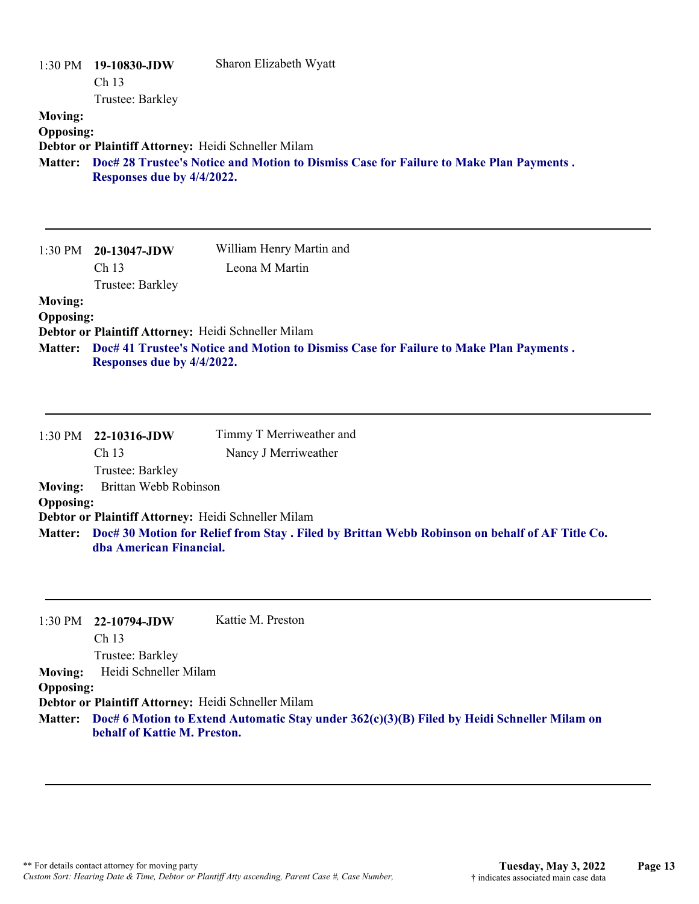| <b>Moving:</b><br><b>Opposing:</b>            | 1:30 PM 19-10830-JDW<br>Ch <sub>13</sub><br>Trustee: Barkley<br>Debtor or Plaintiff Attorney: Heidi Schneller Milam | Sharon Elizabeth Wyatt                                                                         |
|-----------------------------------------------|---------------------------------------------------------------------------------------------------------------------|------------------------------------------------------------------------------------------------|
|                                               | Responses due by 4/4/2022.                                                                                          | Matter: Doc# 28 Trustee's Notice and Motion to Dismiss Case for Failure to Make Plan Payments. |
| $1:30$ PM                                     | 20-13047-JDW<br>Ch 13<br>Trustee: Barkley                                                                           | William Henry Martin and<br>Leona M Martin                                                     |
| <b>Moving:</b><br><b>Opposing:</b><br>Matter: | Debtor or Plaintiff Attorney: Heidi Schneller Milam<br>Responses due by 4/4/2022.                                   | Doc# 41 Trustee's Notice and Motion to Dismiss Case for Failure to Make Plan Payments.         |
| 1:30 PM                                       | 22-10316-JDW<br>Ch 13<br>Trustee: Barkley                                                                           | Timmy T Merriweather and<br>Nancy J Merriweather                                               |
| <b>Moving:</b><br><b>Opposing:</b>            | Brittan Webb Robinson                                                                                               |                                                                                                |
|                                               | Debtor or Plaintiff Attorney: Heidi Schneller Milam                                                                 |                                                                                                |
| <b>Matter:</b>                                | dba American Financial.                                                                                             | Doc# 30 Motion for Relief from Stay. Filed by Brittan Webb Robinson on behalf of AF Title Co.  |
| 1:30 PM                                       | 22-10794-JDW<br>Ch 13<br>Trustee: Barkley                                                                           | Kattie M. Preston                                                                              |
| <b>Moving:</b><br><b>Opposing:</b>            | Heidi Schneller Milam                                                                                               |                                                                                                |
| <b>Matter:</b>                                | Debtor or Plaintiff Attorney: Heidi Schneller Milam<br>behalf of Kattie M. Preston.                                 | Doc# 6 Motion to Extend Automatic Stay under $362(c)(3)(B)$ Filed by Heidi Schneller Milam on  |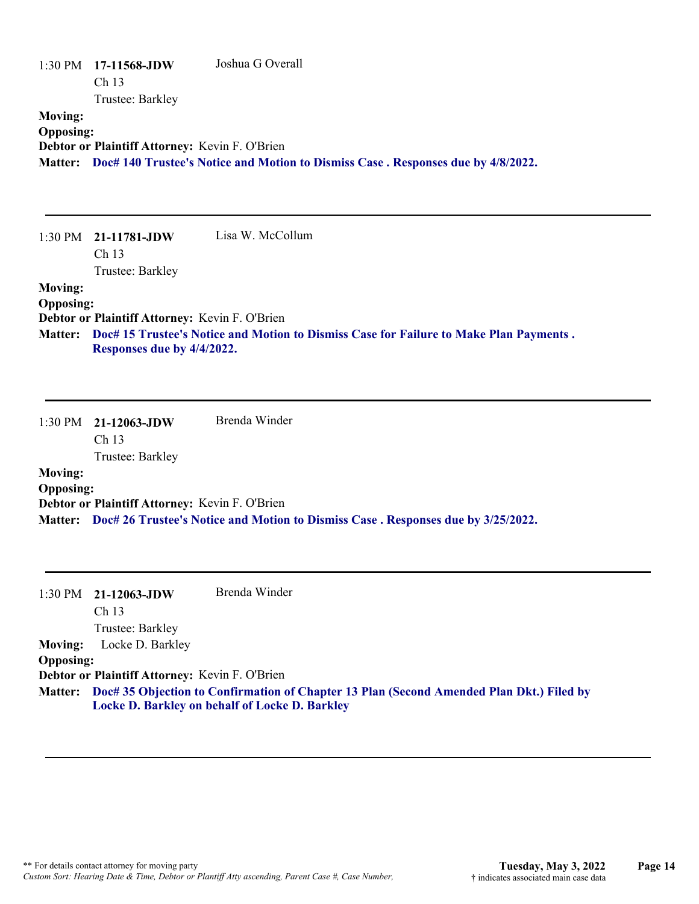|                  | $1:30 \text{ PM}$ 17-11568-JDW                 | Joshua G Overall                                                                          |
|------------------|------------------------------------------------|-------------------------------------------------------------------------------------------|
|                  | Ch <sub>13</sub>                               |                                                                                           |
|                  | Trustee: Barkley                               |                                                                                           |
| <b>Moving:</b>   |                                                |                                                                                           |
| <b>Opposing:</b> |                                                |                                                                                           |
|                  | Debtor or Plaintiff Attorney: Kevin F. O'Brien |                                                                                           |
|                  |                                                | Matter: Doc# 140 Trustee's Notice and Motion to Dismiss Case . Responses due by 4/8/2022. |
|                  |                                                |                                                                                           |

|                  | $1:30 \text{ PM}$ 21-11781-JDW                                                         | Lisa W. McCollum |
|------------------|----------------------------------------------------------------------------------------|------------------|
|                  | Ch <sub>13</sub>                                                                       |                  |
|                  | Trustee: Barkley                                                                       |                  |
| <b>Moving:</b>   |                                                                                        |                  |
| <b>Opposing:</b> |                                                                                        |                  |
|                  | Debtor or Plaintiff Attorney: Kevin F. O'Brien                                         |                  |
| <b>Matter:</b>   | Doc# 15 Trustee's Notice and Motion to Dismiss Case for Failure to Make Plan Payments. |                  |
|                  | Responses due by 4/4/2022.                                                             |                  |

1:30 PM **21-12063-JDW**  Ch 13 Trustee: Barkley Brenda Winder **Moving: Opposing: Debtor or Plaintiff Attorney:** Kevin F. O'Brien **Matter: Doc# 26 Trustee's Notice and Motion to Dismiss Case . Responses due by 3/25/2022.**

|                  | $1:30 \text{ PM}$ 21-12063-JDW                 | Brenda Winder                                                                                                                                      |
|------------------|------------------------------------------------|----------------------------------------------------------------------------------------------------------------------------------------------------|
|                  | Ch <sub>13</sub>                               |                                                                                                                                                    |
|                  | Trustee: Barkley                               |                                                                                                                                                    |
| <b>Moving:</b>   | Locke D. Barkley                               |                                                                                                                                                    |
| <b>Opposing:</b> |                                                |                                                                                                                                                    |
|                  | Debtor or Plaintiff Attorney: Kevin F. O'Brien |                                                                                                                                                    |
|                  |                                                | Matter: Doc# 35 Objection to Confirmation of Chapter 13 Plan (Second Amended Plan Dkt.) Filed by<br>Locke D. Barkley on behalf of Locke D. Barkley |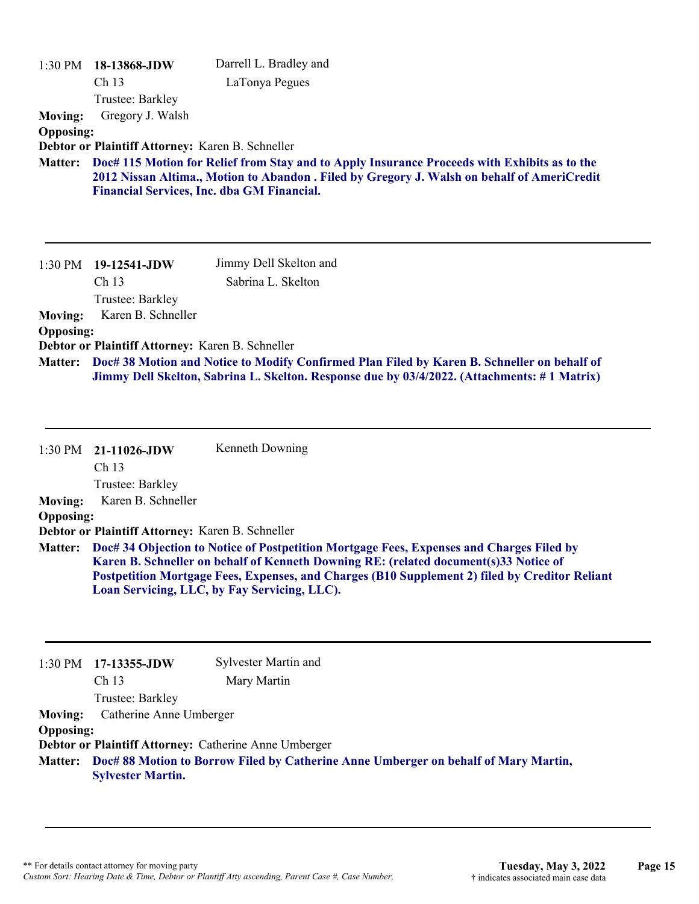| $1:30$ PM<br><b>Moving:</b> | 18-13868-JDW<br>Ch <sub>13</sub><br>Trustee: Barkley<br>Gregory J. Walsh | Darrell L. Bradley and<br>LaTonya Pegues                                                                                                                                                    |
|-----------------------------|--------------------------------------------------------------------------|---------------------------------------------------------------------------------------------------------------------------------------------------------------------------------------------|
| <b>Opposing:</b>            |                                                                          |                                                                                                                                                                                             |
|                             | Debtor or Plaintiff Attorney: Karen B. Schneller                         |                                                                                                                                                                                             |
| <b>Matter:</b>              |                                                                          | Doc# 115 Motion for Relief from Stay and to Apply Insurance Proceeds with Exhibits as to the<br>2012 Nissan Altima., Motion to Abandon . Filed by Gregory J. Walsh on behalf of AmeriCredit |
|                             |                                                                          | <b>Financial Services, Inc. dba GM Financial.</b>                                                                                                                                           |
|                             |                                                                          |                                                                                                                                                                                             |
| 1:30 PM                     | $19-12541$ -JDW                                                          | Jimmy Dell Skelton and                                                                                                                                                                      |
|                             | Ch <sub>13</sub>                                                         | Sabrina L. Skelton                                                                                                                                                                          |
|                             | Trustee: Barkley                                                         |                                                                                                                                                                                             |
| <b>Moving:</b>              | Karen B. Schneller                                                       |                                                                                                                                                                                             |
| <b>Opposing:</b>            |                                                                          |                                                                                                                                                                                             |
|                             | Debtor or Plaintiff Attorney: Karen B. Schneller                         |                                                                                                                                                                                             |
| <b>Matter:</b>              |                                                                          | Doc# 38 Motion and Notice to Modify Confirmed Plan Filed by Karen B. Schneller on behalf of<br>Jimmy Dell Skelton, Sabrina L. Skelton. Response due by 03/4/2022. (Attachments: #1 Matrix)  |

|                  | $1:30 \text{ PM}$ 21-11026-JDW                   | Kenneth Downing                                                                                                                                                                                                                                                                                                                            |
|------------------|--------------------------------------------------|--------------------------------------------------------------------------------------------------------------------------------------------------------------------------------------------------------------------------------------------------------------------------------------------------------------------------------------------|
|                  | Ch <sub>13</sub>                                 |                                                                                                                                                                                                                                                                                                                                            |
|                  | Trustee: Barkley                                 |                                                                                                                                                                                                                                                                                                                                            |
| <b>Moving:</b>   | Karen B. Schneller                               |                                                                                                                                                                                                                                                                                                                                            |
| <b>Opposing:</b> |                                                  |                                                                                                                                                                                                                                                                                                                                            |
|                  | Debtor or Plaintiff Attorney: Karen B. Schneller |                                                                                                                                                                                                                                                                                                                                            |
|                  |                                                  | Matter: Doc# 34 Objection to Notice of Postpetition Mortgage Fees, Expenses and Charges Filed by<br>Karen B. Schneller on behalf of Kenneth Downing RE: (related document(s)33 Notice of<br>Postpetition Mortgage Fees, Expenses, and Charges (B10 Supplement 2) filed by Creditor Reliant<br>Loan Servicing, LLC, by Fay Servicing, LLC). |

| 1:30 PM          | 17-13355-JDW                                                                                                    | Sylvester Martin and                                  |  |
|------------------|-----------------------------------------------------------------------------------------------------------------|-------------------------------------------------------|--|
|                  | Ch <sub>13</sub>                                                                                                | Mary Martin                                           |  |
|                  | Trustee: Barkley                                                                                                |                                                       |  |
| <b>Moving:</b>   | Catherine Anne Umberger                                                                                         |                                                       |  |
| <b>Opposing:</b> |                                                                                                                 |                                                       |  |
|                  |                                                                                                                 | Debtor or Plaintiff Attorney: Catherine Anne Umberger |  |
| <b>Matter:</b>   | Doc# 88 Motion to Borrow Filed by Catherine Anne Umberger on behalf of Mary Martin,<br><b>Sylvester Martin.</b> |                                                       |  |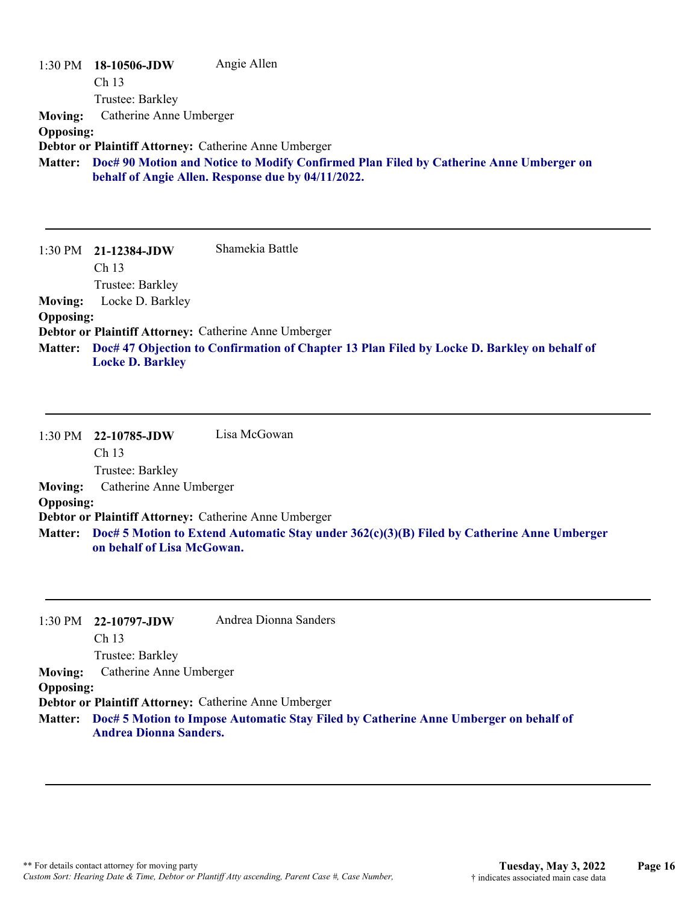1:30 PM **18-10506-JDW**  Ch 13 Trustee: Barkley Angie Allen **Moving:** Catherine Anne Umberger **Opposing: Debtor or Plaintiff Attorney:** Catherine Anne Umberger **Doc# 90 Motion and Notice to Modify Confirmed Plan Filed by Catherine Anne Umberger on Matter: behalf of Angie Allen. Response due by 04/11/2022.**

1:30 PM **21-12384-JDW**  Ch 13 Trustee: Barkley Shamekia Battle **Moving:** Locke D. Barkley **Opposing: Debtor or Plaintiff Attorney:** Catherine Anne Umberger **Doc# 47 Objection to Confirmation of Chapter 13 Plan Filed by Locke D. Barkley on behalf of Matter: Locke D. Barkley**

1:30 PM **22-10785-JDW**  Ch 13 Trustee: Barkley Lisa McGowan **Moving:** Catherine Anne Umberger **Opposing: Debtor or Plaintiff Attorney:** Catherine Anne Umberger **Doc# 5 Motion to Extend Automatic Stay under 362(c)(3)(B) Filed by Catherine Anne Umberger Matter: on behalf of Lisa McGowan.**

|                  | $1:30 \text{ PM}$ 22-10797-JDW                        | Andrea Dionna Sanders                                                                        |
|------------------|-------------------------------------------------------|----------------------------------------------------------------------------------------------|
|                  | Ch <sub>13</sub>                                      |                                                                                              |
|                  | Trustee: Barkley                                      |                                                                                              |
| <b>Moving:</b>   | Catherine Anne Umberger                               |                                                                                              |
| <b>Opposing:</b> |                                                       |                                                                                              |
|                  | Debtor or Plaintiff Attorney: Catherine Anne Umberger |                                                                                              |
|                  |                                                       | Matter: Doc# 5 Motion to Impose Automatic Stay Filed by Catherine Anne Umberger on behalf of |

**Andrea Dionna Sanders.**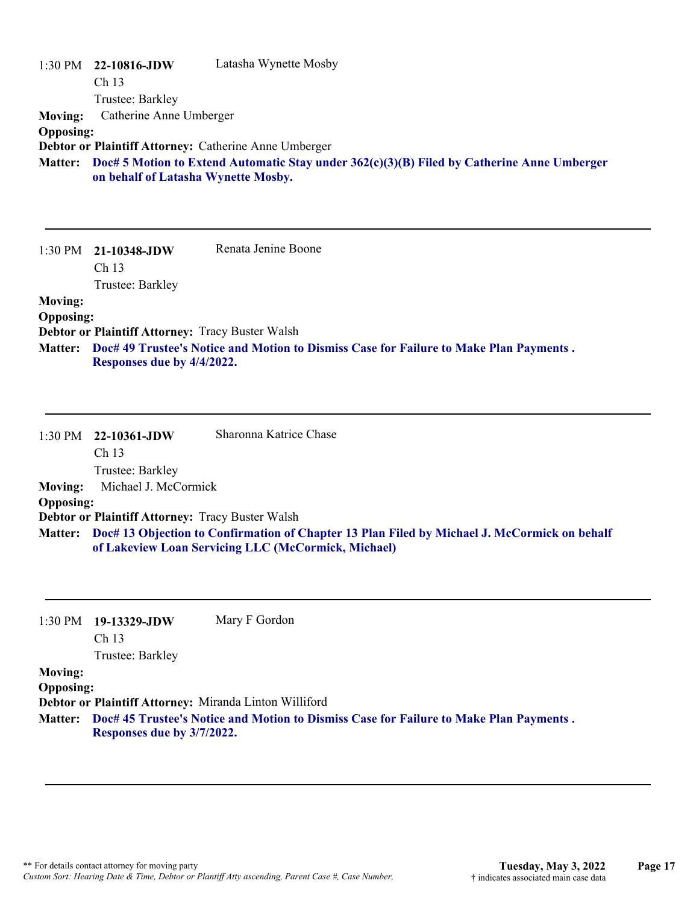| $1:30 \text{ PM}$ | 22-10816-JDW                                                                                                                        | Latasha Wynette Mosby                                 |
|-------------------|-------------------------------------------------------------------------------------------------------------------------------------|-------------------------------------------------------|
|                   | Ch <sub>13</sub>                                                                                                                    |                                                       |
|                   | Trustee: Barkley                                                                                                                    |                                                       |
| <b>Moving:</b>    | Catherine Anne Umberger                                                                                                             |                                                       |
| <b>Opposing:</b>  |                                                                                                                                     |                                                       |
|                   |                                                                                                                                     | Debtor or Plaintiff Attorney: Catherine Anne Umberger |
| <b>Matter:</b>    | Doc# 5 Motion to Extend Automatic Stay under $362(c)(3)(B)$ Filed by Catherine Anne Umberger<br>on behalf of Latasha Wynette Mosby. |                                                       |
|                   |                                                                                                                                     |                                                       |
|                   |                                                                                                                                     |                                                       |

|                  | $1:30 \text{ PM}$ 21-10348-JDW                          | Renata Jenine Boone                                                                    |
|------------------|---------------------------------------------------------|----------------------------------------------------------------------------------------|
|                  | Ch <sub>13</sub>                                        |                                                                                        |
|                  | Trustee: Barkley                                        |                                                                                        |
| <b>Moving:</b>   |                                                         |                                                                                        |
| <b>Opposing:</b> |                                                         |                                                                                        |
|                  | <b>Debtor or Plaintiff Attorney: Tracy Buster Walsh</b> |                                                                                        |
| <b>Matter:</b>   |                                                         | Doc# 49 Trustee's Notice and Motion to Dismiss Case for Failure to Make Plan Payments. |
|                  | Responses due by 4/4/2022.                              |                                                                                        |

|                  | $1:30 \text{ PM}$ 22-10361-JDW                          | Sharonna Katrice Chase                                                                                                                                      |
|------------------|---------------------------------------------------------|-------------------------------------------------------------------------------------------------------------------------------------------------------------|
|                  | Ch <sub>13</sub>                                        |                                                                                                                                                             |
|                  | Trustee: Barkley                                        |                                                                                                                                                             |
| <b>Moving:</b>   | Michael J. McCormick                                    |                                                                                                                                                             |
| <b>Opposing:</b> |                                                         |                                                                                                                                                             |
|                  | <b>Debtor or Plaintiff Attorney: Tracy Buster Walsh</b> |                                                                                                                                                             |
|                  |                                                         | Matter: Doc# 13 Objection to Confirmation of Chapter 13 Plan Filed by Michael J. McCormick on behalf<br>of Lakeview Loan Servicing LLC (McCormick, Michael) |

| $1:30 \text{ PM}$ 19-13329-JDW | Mary F Gordon |  |
|--------------------------------|---------------|--|
| Ch 13                          |               |  |

Trustee: Barkley

## **Moving:**

**Opposing:**

**Debtor or Plaintiff Attorney:** Miranda Linton Williford

**Doc# 45 Trustee's Notice and Motion to Dismiss Case for Failure to Make Plan Payments . Matter: Responses due by 3/7/2022.**